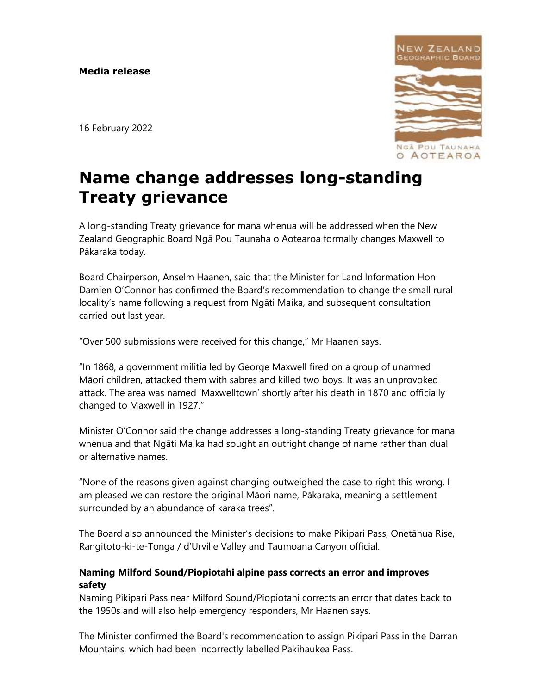16 February 2022



# **Name change addresses long-standing Treaty grievance**

A long-standing Treaty grievance for mana whenua will be addressed when the New Zealand Geographic Board Ngā Pou Taunaha o Aotearoa formally changes Maxwell to Pākaraka today.

Board Chairperson, Anselm Haanen, said that the Minister for Land Information Hon Damien O'Connor has confirmed the Board's recommendation to change the small rural locality's name following a request from Ngāti Maika, and subsequent consultation carried out last year.

"Over 500 submissions were received for this change," Mr Haanen says.

"In 1868, a government militia led by George Maxwell fired on a group of unarmed Māori children, attacked them with sabres and killed two boys. It was an unprovoked attack. The area was named 'Maxwelltown' shortly after his death in 1870 and officially changed to Maxwell in 1927."

Minister O'Connor said the change addresses a long-standing Treaty grievance for mana whenua and that Ngāti Maika had sought an outright change of name rather than dual or alternative names.

"None of the reasons given against changing outweighed the case to right this wrong. I am pleased we can restore the original Māori name, Pākaraka, meaning a settlement surrounded by an abundance of karaka trees".

The Board also announced the Minister's decisions to make Pikipari Pass, Onetāhua Rise, Rangitoto-ki-te-Tonga / d'Urville Valley and Taumoana Canyon official.

# **Naming Milford Sound/Piopiotahi alpine pass corrects an error and improves safety**

Naming Pikipari Pass near Milford Sound/Piopiotahi corrects an error that dates back to the 1950s and will also help emergency responders, Mr Haanen says.

The Minister confirmed the Board's recommendation to assign Pikipari Pass in the Darran Mountains, which had been incorrectly labelled Pakihaukea Pass.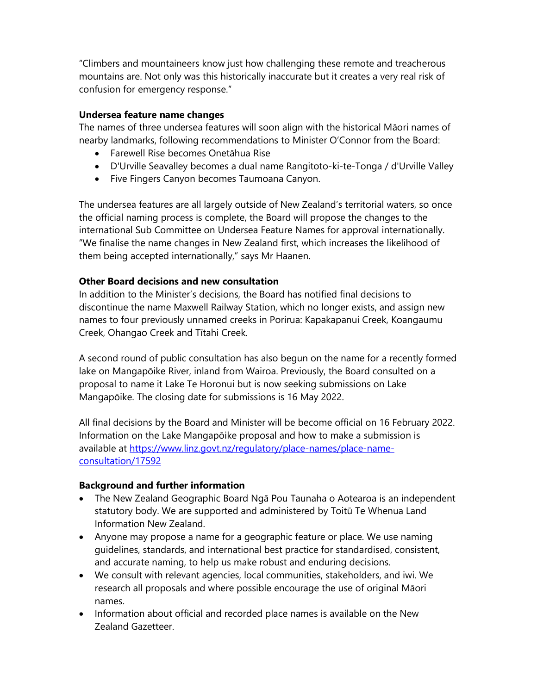"Climbers and mountaineers know just how challenging these remote and treacherous mountains are. Not only was this historically inaccurate but it creates a very real risk of confusion for emergency response."

#### **Undersea feature name changes**

The names of three undersea features will soon align with the historical Māori names of nearby landmarks, following recommendations to Minister O'Connor from the Board:

- Farewell Rise becomes Onetāhua Rise
- D'Urville Seavalley becomes a dual name Rangitoto-ki-te-Tonga / d'Urville Valley
- Five Fingers Canyon becomes Taumoana Canyon.

The undersea features are all largely outside of New Zealand's territorial waters, so once the official naming process is complete, the Board will propose the changes to the international Sub Committee on Undersea Feature Names for approval internationally. "We finalise the name changes in New Zealand first, which increases the likelihood of them being accepted internationally," says Mr Haanen.

## **Other Board decisions and new consultation**

In addition to the Minister's decisions, the Board has notified final decisions to discontinue the name Maxwell Railway Station, which no longer exists, and assign new names to four previously unnamed creeks in Porirua: Kapakapanui Creek, Koangaumu Creek, Ohangao Creek and Tītahi Creek.

A second round of public consultation has also begun on the name for a recently formed lake on Mangapōike River, inland from Wairoa. Previously, the Board consulted on a proposal to name it Lake Te Horonui but is now seeking submissions on Lake Mangapōike. The closing date for submissions is 16 May 2022.

All final decisions by the Board and Minister will be become official on 16 February 2022. Information on the Lake Mangapōike proposal and how to make a submission is available at [https://www.linz.govt.nz/regulatory/place-names/place-name](https://apc01.safelinks.protection.outlook.com/?url=https%3A%2F%2Fwww.linz.govt.nz%2Fregulatory%2Fplace-names%2Fplace-name-consultation%2F17592&data=04%7C01%7CSJanes%40linz.govt.nz%7Cae75ddadd0e746d625b808d9f03a7206%7C2134e9617e384c34a22b10da5466b725%7C0%7C0%7C637804956072011850%7CUnknown%7CTWFpbGZsb3d8eyJWIjoiMC4wLjAwMDAiLCJQIjoiV2luMzIiLCJBTiI6Ik1haWwiLCJXVCI6Mn0%3D%7C3000&sdata=ffkOzqN0Xsz9eSITOH0ribKl1RpP3RJtU3pOQvB4Pq4%3D&reserved=0)[consultation/17592](https://apc01.safelinks.protection.outlook.com/?url=https%3A%2F%2Fwww.linz.govt.nz%2Fregulatory%2Fplace-names%2Fplace-name-consultation%2F17592&data=04%7C01%7CSJanes%40linz.govt.nz%7Cae75ddadd0e746d625b808d9f03a7206%7C2134e9617e384c34a22b10da5466b725%7C0%7C0%7C637804956072011850%7CUnknown%7CTWFpbGZsb3d8eyJWIjoiMC4wLjAwMDAiLCJQIjoiV2luMzIiLCJBTiI6Ik1haWwiLCJXVCI6Mn0%3D%7C3000&sdata=ffkOzqN0Xsz9eSITOH0ribKl1RpP3RJtU3pOQvB4Pq4%3D&reserved=0)

#### **Background and further information**

- The New Zealand Geographic Board Ngā Pou Taunaha o Aotearoa is an independent statutory body. We are supported and administered by Toitū Te Whenua Land Information New Zealand.
- Anyone may propose a name for a geographic feature or place. We use naming guidelines, standards, and international best practice for standardised, consistent, and accurate naming, to help us make robust and enduring decisions.
- We consult with relevant agencies, local communities, stakeholders, and iwi. We research all proposals and where possible encourage the use of original Māori names.
- Information about official and recorded place names is available on the New Zealand Gazetteer.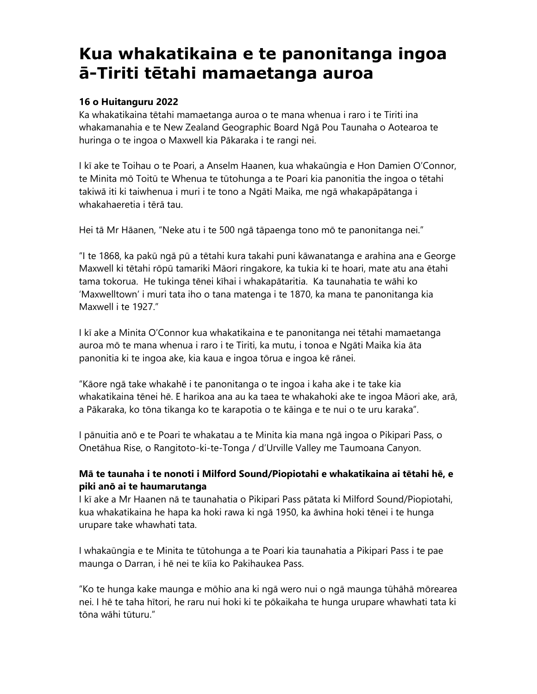# **Kua whakatikaina e te panonitanga ingoa ā-Tiriti tētahi mamaetanga auroa**

#### **16 o Huitanguru 2022**

Ka whakatikaina tētahi mamaetanga auroa o te mana whenua i raro i te Tiriti ina whakamanahia e te New Zealand Geographic Board Ngā Pou Taunaha o Aotearoa te huringa o te ingoa o Maxwell kia Pākaraka i te rangi nei.

I kī ake te Toihau o te Poari, a Anselm Haanen, kua whakaūngia e Hon Damien O'Connor, te Minita mō Toitū te Whenua te tūtohunga a te Poari kia panonitia the ingoa o tētahi takiwā iti ki taiwhenua i muri i te tono a Ngāti Maika, me ngā whakapāpātanga i whakahaeretia i tērā tau.

Hei tā Mr Hāanen, "Neke atu i te 500 ngā tāpaenga tono mō te panonitanga nei."

"I te 1868, ka pakū ngā pū a tētahi kura takahi puni kāwanatanga e arahina ana e George Maxwell ki tētahi rōpū tamariki Māori ringakore, ka tukia ki te hoari, mate atu ana ētahi tama tokorua. He tukinga tēnei kīhai i whakapātaritia. Ka taunahatia te wāhi ko 'Maxwelltown' i muri tata iho o tana matenga i te 1870, ka mana te panonitanga kia Maxwell i te 1927."

I kī ake a Minita O'Connor kua whakatikaina e te panonitanga nei tētahi mamaetanga auroa mō te mana whenua i raro i te Tiriti, ka mutu, i tonoa e Ngāti Maika kia āta panonitia ki te ingoa ake, kia kaua e ingoa tōrua e ingoa kē rānei.

"Kāore ngā take whakahē i te panonitanga o te ingoa i kaha ake i te take kia whakatikaina tēnei hē. E harikoa ana au ka taea te whakahoki ake te ingoa Māori ake, arā, a Pākaraka, ko tōna tikanga ko te karapotia o te kāinga e te nui o te uru karaka".

I pānuitia anō e te Poari te whakatau a te Minita kia mana ngā ingoa o Pikipari Pass, o Onetāhua Rise, o Rangitoto-ki-te-Tonga / d'Urville Valley me Taumoana Canyon.

## **Mā te taunaha i te nonoti i Milford Sound/Piopiotahi e whakatikaina ai tētahi hē, e piki anō ai te haumarutanga**

I kī ake a Mr Haanen nā te taunahatia o Pikipari Pass pātata ki Milford Sound/Piopiotahi, kua whakatikaina he hapa ka hoki rawa ki ngā 1950, ka āwhina hoki tēnei i te hunga urupare take whawhati tata.

I whakaūngia e te Minita te tūtohunga a te Poari kia taunahatia a Pikipari Pass i te pae maunga o Darran, i hē nei te kīia ko Pakihaukea Pass.

"Ko te hunga kake maunga e mōhio ana ki ngā wero nui o ngā maunga tūhāhā mōrearea nei. I hē te taha hītori, he raru nui hoki ki te pōkaikaha te hunga urupare whawhati tata ki tōna wāhi tūturu."